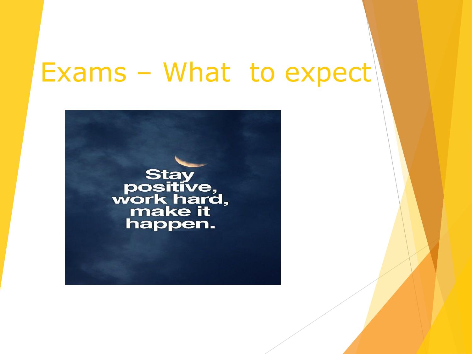# Exams – What to expect

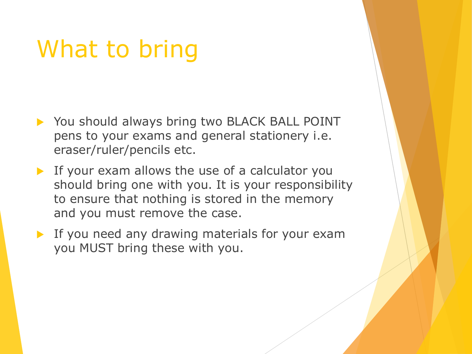## What to bring

- ▶ You should always bring two BLACK BALL POINT pens to your exams and general stationery i.e. eraser/ruler/pencils etc.
- If your exam allows the use of a calculator you should bring one with you. It is your responsibility to ensure that nothing is stored in the memory and you must remove the case.
- **If you need any drawing materials for your exam** you MUST bring these with you.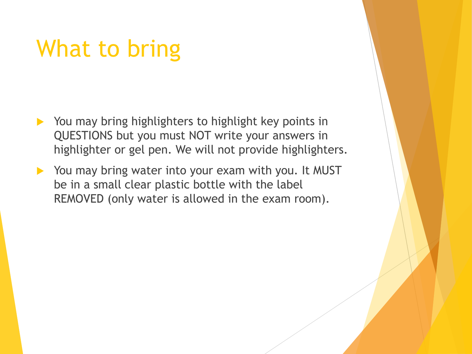### What to bring

- ▶ You may bring highlighters to highlight key points in QUESTIONS but you must NOT write your answers in highlighter or gel pen. We will not provide highlighters.
- You may bring water into your exam with you. It MUST be in a small clear plastic bottle with the label REMOVED (only water is allowed in the exam room).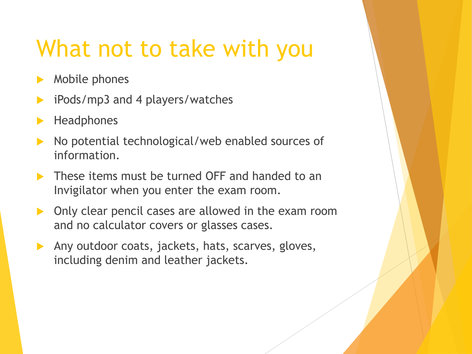#### What not to take with you

- Mobile phones
- iPods/mp3 and 4 players/watches
- **Headphones**
- No potential technological/web enabled sources of information.
- **These items must be turned OFF and handed to an** Invigilator when you enter the exam room.
- Only clear pencil cases are allowed in the exam room and no calculator covers or glasses cases.
- Any outdoor coats, jackets, hats, scarves, gloves, including denim and leather jackets.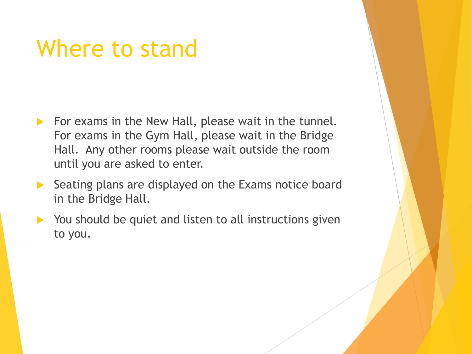#### Where to stand

- $\triangleright$  For exams in the New Hall, please wait in the tunnel. For exams in the Gym Hall, please wait in the Bridge Hall. Any other rooms please wait outside the room until you are asked to enter.
- $\triangleright$  Seating plans are displayed on the Exams notice board in the Bridge Hall.
- ▶ You should be quiet and listen to all instructions given to you.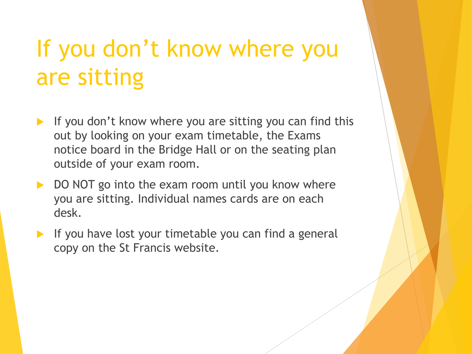# If you don't know where you are sitting

- If you don't know where you are sitting you can find this out by looking on your exam timetable, the Exams notice board in the Bridge Hall or on the seating plan outside of your exam room.
- DO NOT go into the exam room until you know where you are sitting. Individual names cards are on each desk.
- If you have lost your timetable you can find a general copy on the St Francis website.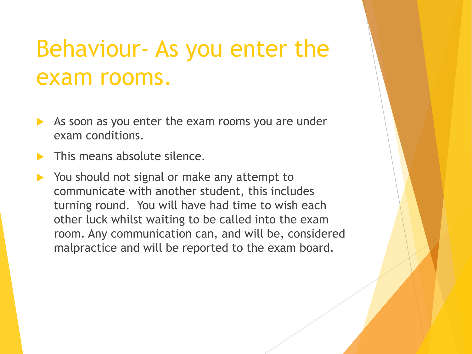## Behaviour- As you enter the exam rooms.

- As soon as you enter the exam rooms you are under exam conditions.
- This means absolute silence.
- You should not signal or make any attempt to communicate with another student, this includes turning round. You will have had time to wish each other luck whilst waiting to be called into the exam room. Any communication can, and will be, considered malpractice and will be reported to the exam board.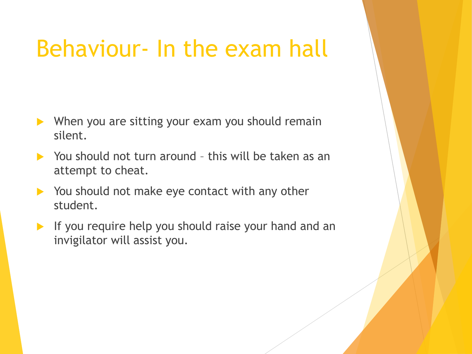## Behaviour- In the exam hall

- ▶ When you are sitting your exam you should remain silent.
- ▶ You should not turn around this will be taken as an attempt to cheat.
- You should not make eye contact with any other student.
- $\blacktriangleright$  If you require help you should raise your hand and an invigilator will assist you.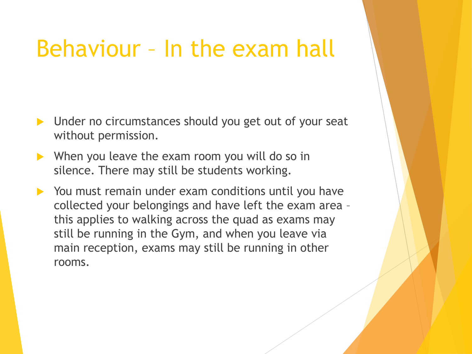#### Behaviour – In the exam hall

- Dunder no circumstances should you get out of your seat without permission.
- $\triangleright$  When you leave the exam room you will do so in silence. There may still be students working.
- ▶ You must remain under exam conditions until you have collected your belongings and have left the exam area – this applies to walking across the quad as exams may still be running in the Gym, and when you leave via main reception, exams may still be running in other rooms.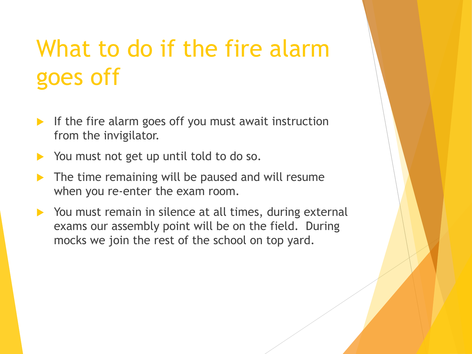# What to do if the fire alarm goes off

- If the fire alarm goes off you must await instruction from the invigilator.
- ▶ You must not get up until told to do so.
- The time remaining will be paused and will resume when you re-enter the exam room.
- ▶ You must remain in silence at all times, during external exams our assembly point will be on the field. During mocks we join the rest of the school on top yard.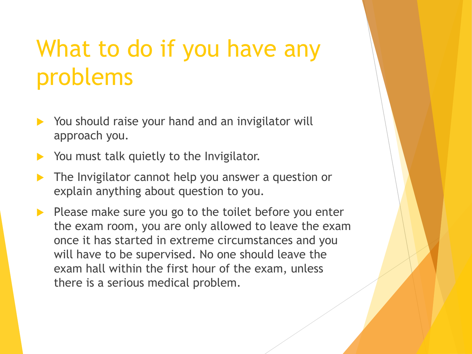# What to do if you have any problems

- $\triangleright$  You should raise your hand and an invigilator will approach you.
- You must talk quietly to the Invigilator.
- **The Invigilator cannot help you answer a question or** explain anything about question to you.
- $\blacktriangleright$  Please make sure you go to the toilet before you enter the exam room, you are only allowed to leave the exam once it has started in extreme circumstances and you will have to be supervised. No one should leave the exam hall within the first hour of the exam, unless there is a serious medical problem.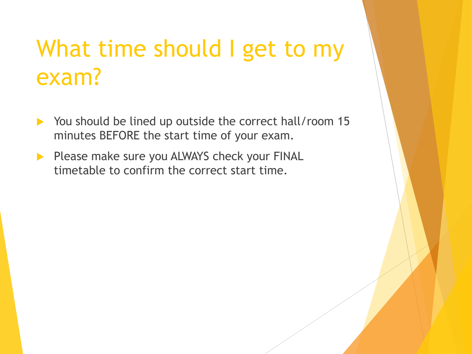## What time should I get to my exam?

- ▶ You should be lined up outside the correct hall/room 15 minutes BEFORE the start time of your exam.
- Please make sure you ALWAYS check your FINAL timetable to confirm the correct start time.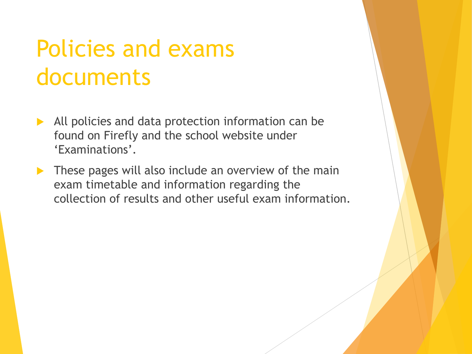## Policies and exams documents

- All policies and data protection information can be found on Firefly and the school website under 'Examinations'.
- These pages will also include an overview of the main exam timetable and information regarding the collection of results and other useful exam information.